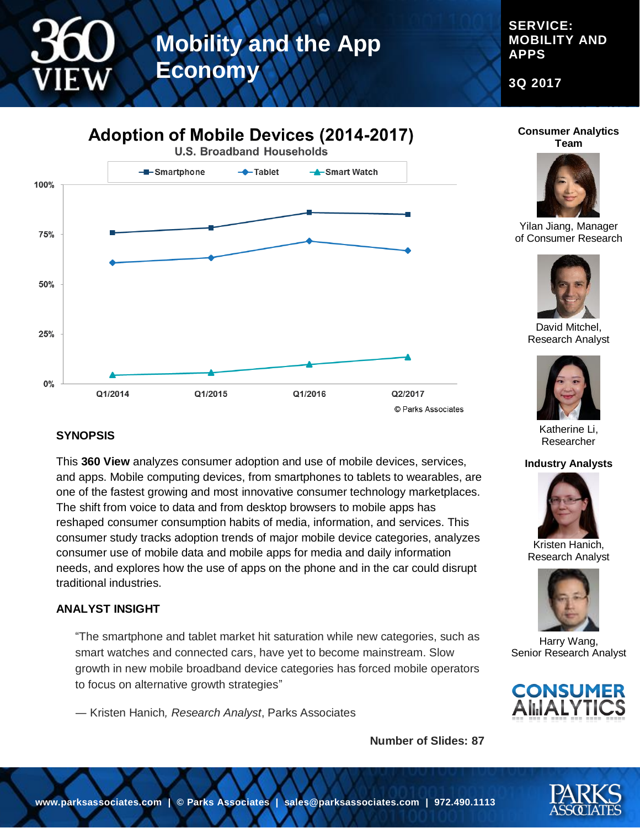**SERVICE: MOBILITY AND APPS**

**3Q 2017**



#### **Consumer Analytics Team**



Yilan Jiang, Manager of Consumer Research



David Mitchel, Research Analyst



Katherine Li, Researcher

#### **Industry Analysts**



Kristen Hanich, Research Analyst



Harry Wang, Senior Research Analyst



### **SYNOPSIS**

This **360 View** analyzes consumer adoption and use of mobile devices, services, and apps. Mobile computing devices, from smartphones to tablets to wearables, are one of the fastest growing and most innovative consumer technology marketplaces. The shift from voice to data and from desktop browsers to mobile apps has reshaped consumer consumption habits of media, information, and services. This consumer study tracks adoption trends of major mobile device categories, analyzes consumer use of mobile data and mobile apps for media and daily information needs, and explores how the use of apps on the phone and in the car could disrupt traditional industries.

#### **ANALYST INSIGHT**

"The smartphone and tablet market hit saturation while new categories, such as smart watches and connected cars, have yet to become mainstream. Slow growth in new mobile broadband device categories has forced mobile operators to focus on alternative growth strategies"

― Kristen Hanich*, Research Analyst*, Parks Associates

**Number of Slides: 87**

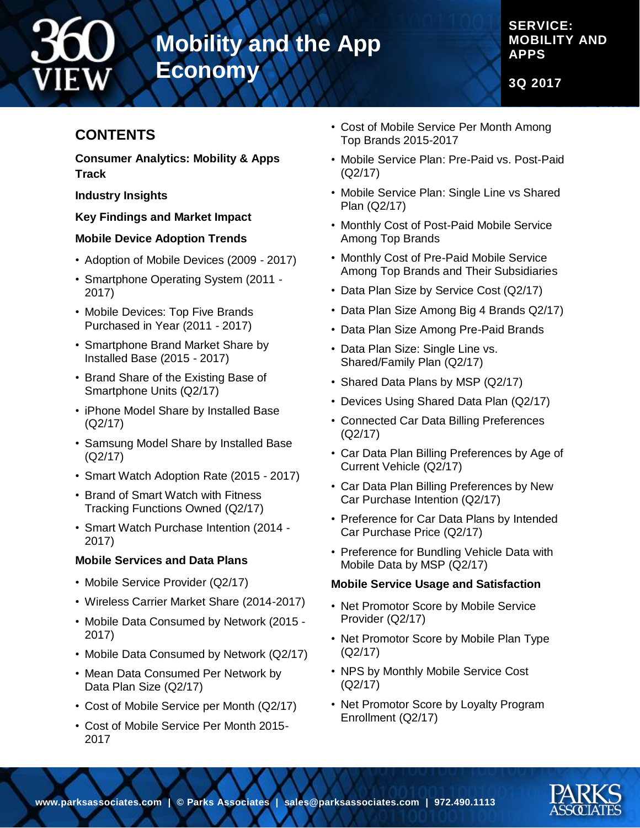

**SERVICE: MOBILITY AND APPS**

**3Q 2017**

## **CONTENTS**

**Consumer Analytics: Mobility & Apps Track**

**Industry Insights**

#### **Key Findings and Market Impact**

#### **Mobile Device Adoption Trends**

- Adoption of Mobile Devices (2009 2017)
- Smartphone Operating System (2011 2017)
- Mobile Devices: Top Five Brands Purchased in Year (2011 - 2017)
- Smartphone Brand Market Share by Installed Base (2015 - 2017)
- Brand Share of the Existing Base of Smartphone Units (Q2/17)
- iPhone Model Share by Installed Base (Q2/17)
- Samsung Model Share by Installed Base (Q2/17)
- Smart Watch Adoption Rate (2015 2017)
- Brand of Smart Watch with Fitness Tracking Functions Owned (Q2/17)
- Smart Watch Purchase Intention (2014 2017)

#### **Mobile Services and Data Plans**

- Mobile Service Provider (Q2/17)
- Wireless Carrier Market Share (2014-2017)
- Mobile Data Consumed by Network (2015 2017)
- Mobile Data Consumed by Network (Q2/17)
- Mean Data Consumed Per Network by Data Plan Size (Q2/17)
- Cost of Mobile Service per Month (Q2/17)
- Cost of Mobile Service Per Month 2015- 2017
- Cost of Mobile Service Per Month Among Top Brands 2015-2017
- Mobile Service Plan: Pre-Paid vs. Post-Paid (Q2/17)
- Mobile Service Plan: Single Line vs Shared Plan (Q2/17)
- Monthly Cost of Post-Paid Mobile Service Among Top Brands
- Monthly Cost of Pre-Paid Mobile Service Among Top Brands and Their Subsidiaries
- Data Plan Size by Service Cost (Q2/17)
- Data Plan Size Among Big 4 Brands Q2/17)
- Data Plan Size Among Pre-Paid Brands
- Data Plan Size: Single Line vs. Shared/Family Plan (Q2/17)
- Shared Data Plans by MSP (Q2/17)
- Devices Using Shared Data Plan (Q2/17)
- Connected Car Data Billing Preferences (Q2/17)
- Car Data Plan Billing Preferences by Age of Current Vehicle (Q2/17)
- Car Data Plan Billing Preferences by New Car Purchase Intention (Q2/17)
- Preference for Car Data Plans by Intended Car Purchase Price (Q2/17)
- Preference for Bundling Vehicle Data with Mobile Data by MSP (Q2/17)

#### **Mobile Service Usage and Satisfaction**

- Net Promotor Score by Mobile Service Provider (Q2/17)
- Net Promotor Score by Mobile Plan Type (Q2/17)
- NPS by Monthly Mobile Service Cost (Q2/17)
- Net Promotor Score by Loyalty Program Enrollment (Q2/17)

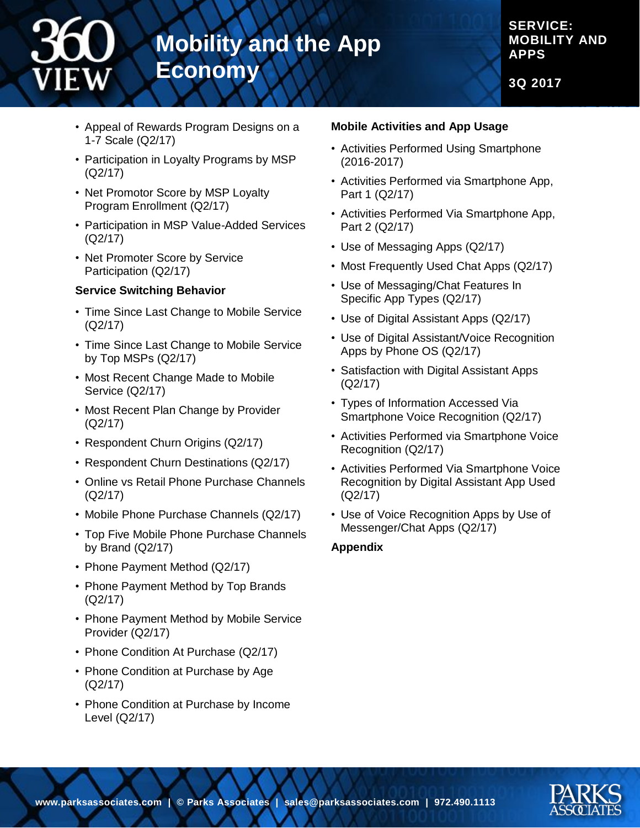#### **SERVICE: MOBILITY AND APPS**

**3Q 2017**

- Appeal of Rewards Program Designs on a 1-7 Scale (Q2/17)
- Participation in Loyalty Programs by MSP (Q2/17)
- Net Promotor Score by MSP Loyalty Program Enrollment (Q2/17)
- Participation in MSP Value-Added Services (Q2/17)
- Net Promoter Score by Service Participation (Q2/17)

#### **Service Switching Behavior**

- Time Since Last Change to Mobile Service (Q2/17)
- Time Since Last Change to Mobile Service by Top MSPs (Q2/17)
- Most Recent Change Made to Mobile Service (Q2/17)
- Most Recent Plan Change by Provider (Q2/17)
- Respondent Churn Origins (Q2/17)
- Respondent Churn Destinations (Q2/17)
- Online vs Retail Phone Purchase Channels (Q2/17)
- Mobile Phone Purchase Channels (Q2/17)
- Top Five Mobile Phone Purchase Channels by Brand (Q2/17)
- Phone Payment Method (Q2/17)
- Phone Payment Method by Top Brands (Q2/17)
- Phone Payment Method by Mobile Service Provider (Q2/17)
- Phone Condition At Purchase (Q2/17)
- Phone Condition at Purchase by Age (Q2/17)
- Phone Condition at Purchase by Income Level (Q2/17)

#### **Mobile Activities and App Usage**

- Activities Performed Using Smartphone (2016-2017)
- Activities Performed via Smartphone App, Part 1 (Q2/17)
- Activities Performed Via Smartphone App, Part 2 (Q2/17)
- Use of Messaging Apps (Q2/17)
- Most Frequently Used Chat Apps (Q2/17)
- Use of Messaging/Chat Features In Specific App Types (Q2/17)
- Use of Digital Assistant Apps (Q2/17)
- Use of Digital Assistant/Voice Recognition Apps by Phone OS (Q2/17)
- Satisfaction with Digital Assistant Apps (Q2/17)
- Types of Information Accessed Via Smartphone Voice Recognition (Q2/17)
- Activities Performed via Smartphone Voice Recognition (Q2/17)
- Activities Performed Via Smartphone Voice Recognition by Digital Assistant App Used (Q2/17)
- Use of Voice Recognition Apps by Use of Messenger/Chat Apps (Q2/17)

#### **Appendix**